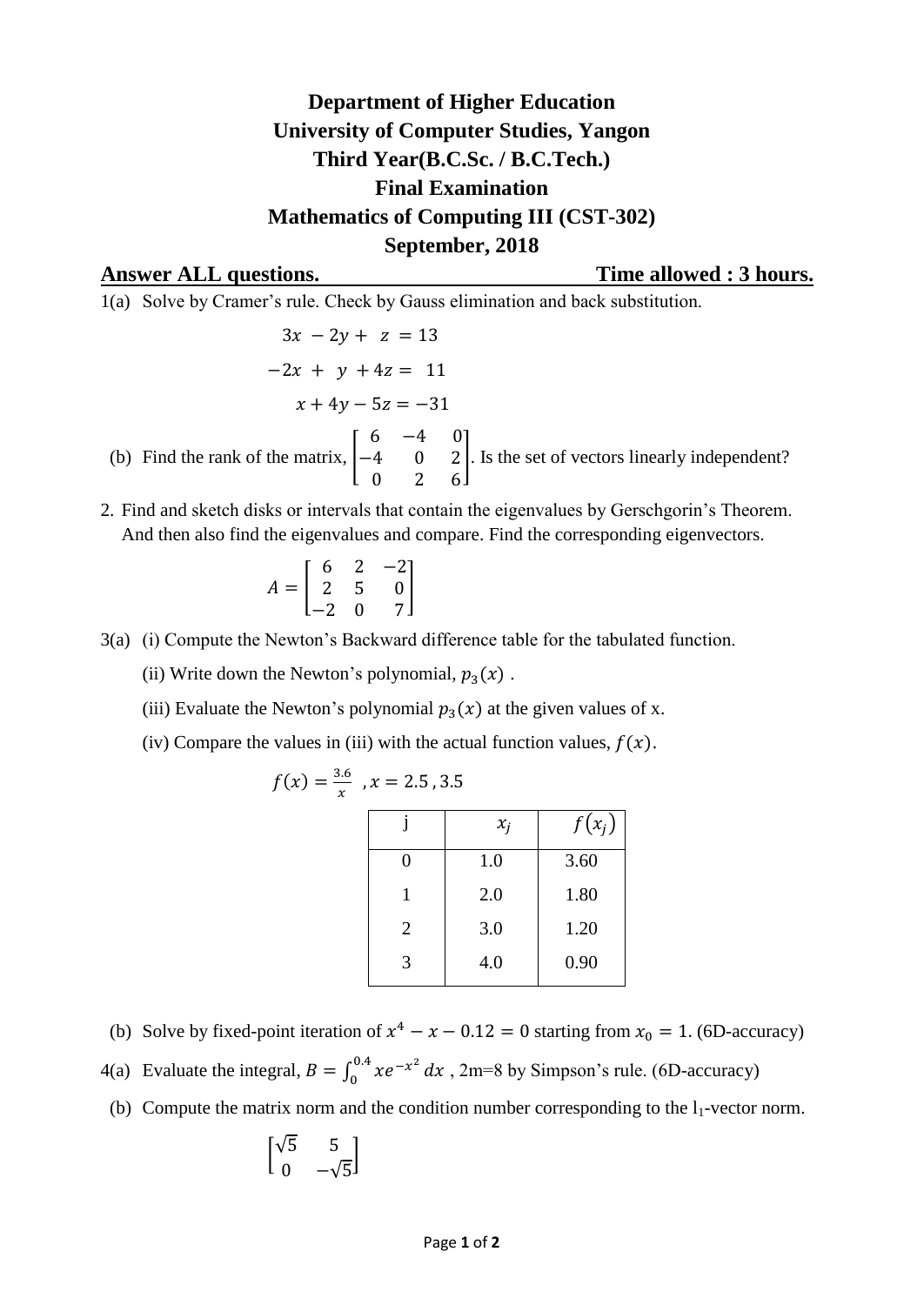## **Department of Higher Education University of Computer Studies, Yangon Third Year(B.C.Sc. / B.C.Tech.) Final Examination Mathematics of Computing III (CST-302) September, 2018**

**Answer ALL questions. Time allowed : 3 hours.**

1(a) Solve by Cramer's rule. Check by Gauss elimination and back substitution.

$$
3x - 2y + z = 13
$$
  
-2x + y + 4z = 11  

$$
x + 4y - 5z = -31
$$
  
(b) Find the rank of the matrix,  $\begin{bmatrix} 6 & -4 & 0 \\ -4 & 0 & 2 \\ 0 & 2 & 6 \end{bmatrix}$ . Is the set of vectors linearly independent?

2. Find and sketch disks or intervals that contain the eigenvalues by Gerschgorin's Theorem. And then also find the eigenvalues and compare. Find the corresponding eigenvectors.

$$
A = \begin{bmatrix} 6 & 2 & -2 \\ 2 & 5 & 0 \\ -2 & 0 & 7 \end{bmatrix}
$$

- 3(a) (i) Compute the Newton's Backward difference table for the tabulated function.
	- (ii) Write down the Newton's polynomial,  $p_3(x)$ .
	- (iii) Evaluate the Newton's polynomial  $p_3(x)$  at the given values of x.
	- (iv) Compare the values in (iii) with the actual function values,  $f(x)$ .

$$
f(x) = \frac{3.6}{x}, x = 2.5, 3.5
$$

|   | $x_i$ | $f(x_i)$ |
|---|-------|----------|
| 0 | 1.0   | 3.60     |
| 1 | 2.0   | 1.80     |
| 2 | 3.0   | 1.20     |
| 3 | 4.0   | 0.90     |

- (b) Solve by fixed-point iteration of  $x^4 x 0.12 = 0$  starting from  $x_0 = 1$ . (6D-accuracy)
- 4(a) Evaluate the integral,  $B = \int_0^{0.4} xe^{-t}$  $\int_{0}^{\infty} xe^{-x^2} dx$ , 2m=8 by Simpson's rule. (6D-accuracy)
- (b) Compute the matrix norm and the condition number corresponding to the  $l_1$ -vector norm.

$$
\begin{bmatrix} \sqrt{5} & 5 \\ 0 & -\sqrt{5} \end{bmatrix}
$$